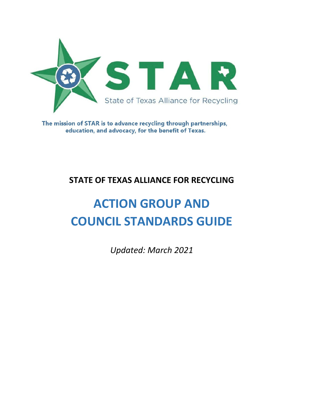

The mission of STAR is to advance recycling through partnerships, education, and advocacy, for the benefit of Texas.

# **STATE OF TEXAS ALLIANCE FOR RECYCLING**

# **ACTION GROUP AND COUNCIL STANDARDS GUIDE**

*Updated: March 2021*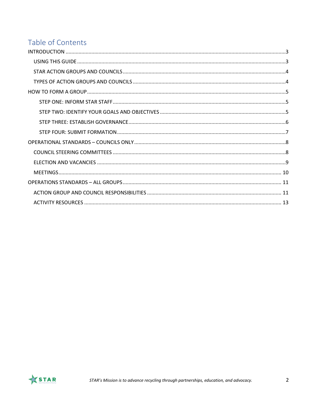# Table of Contents

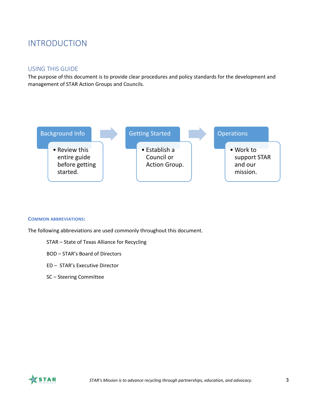# <span id="page-2-0"></span>INTRODUCTION

#### <span id="page-2-1"></span>USING THIS GUIDE

The purpose of this document is to provide clear procedures and policy standards for the development and management of STAR Action Groups and Councils.



#### **COMMON ABBREVIATIONS:**

The following abbreviations are used commonly throughout this document.

- STAR State of Texas Alliance for Recycling
- BOD STAR's Board of Directors
- ED STAR's Executive Director
- SC Steering Committee

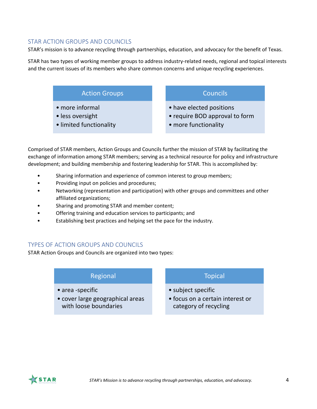## <span id="page-3-0"></span>STAR ACTION GROUPS AND COUNCILS

STAR's mission is to advance recycling through partnerships, education, and advocacy for the benefit of Texas.

STAR has two types of working member groups to address industry‐related needs, regional and topical interests and the current issues of its members who share common concerns and unique recycling experiences.

# Action Groups

- more informal
- less oversight
- limited functionality

**Councils** 

- have elected positions
- require BOD approval to form
- more functionality

Comprised of STAR members, Action Groups and Councils further the mission of STAR by facilitating the exchange of information among STAR members; serving as a technical resource for policy and infrastructure development; and building membership and fostering leadership for STAR. This is accomplished by:

- Sharing information and experience of common interest to group members;
- Providing input on policies and procedures;
- Networking (representation and participation) with other groups and committees and other affiliated organizations;
- Sharing and promoting STAR and member content;
- Offering training and education services to participants; and
- Establishing best practices and helping set the pace for the industry.

# <span id="page-3-1"></span>TYPES OF ACTION GROUPS AND COUNCILS

STAR Action Groups and Councils are organized into two types:

### Regional

- area -specific
- cover large geographical areas with loose boundaries

# Topical

- subject specific
- focus on a certain interest or category of recycling

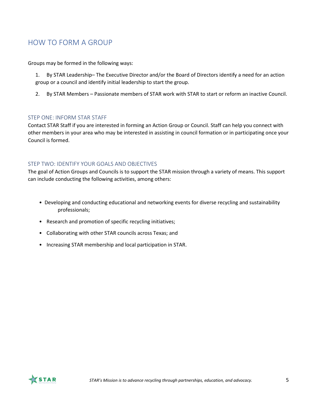# <span id="page-4-0"></span>HOW TO FORM A GROUP

Groups may be formed in the following ways:

- 1. By STAR Leadership– The Executive Director and/or the Board of Directors identify a need for an action group or a council and identify initial leadership to start the group.
- 2. By STAR Members Passionate members of STAR work with STAR to start or reform an inactive Council.

#### <span id="page-4-1"></span>STEP ONE: INFORM STAR STAFF

Contact STAR Staff if you are interested in forming an Action Group or Council. Staff can help you connect with other members in your area who may be interested in assisting in council formation or in participating once your Council is formed.

#### <span id="page-4-2"></span>STEP TWO: IDENTIFY YOUR GOALS AND OBJECTIVES

The goal of Action Groups and Councils is to support the STAR mission through a variety of means. This support can include conducting the following activities, among others:

- Developing and conducting educational and networking events for diverse recycling and sustainability professionals;
- Research and promotion of specific recycling initiatives;
- Collaborating with other STAR councils across Texas; and
- Increasing STAR membership and local participation in STAR.

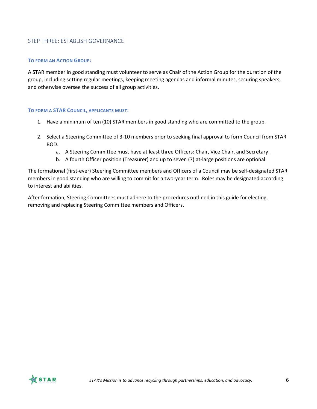### <span id="page-5-0"></span>STEP THREE: ESTABLISH GOVERNANCE

#### **TO FORM AN ACTION GROUP:**

A STAR member in good standing must volunteer to serve as Chair of the Action Group for the duration of the group, including setting regular meetings, keeping meeting agendas and informal minutes, securing speakers, and otherwise oversee the success of all group activities.

#### **TO FORM A STAR COUNCIL, APPLICANTS MUST:**

- 1. Have a minimum of ten (10) STAR members in good standing who are committed to the group.
- 2. Select a Steering Committee of 3-10 members prior to seeking final approval to form Council from STAR BOD.
	- a. A Steering Committee must have at least three Officers: Chair, Vice Chair, and Secretary.
	- b. A fourth Officer position (Treasurer) and up to seven (7) at-large positions are optional.

The formational (first-ever) Steering Committee members and Officers of a Council may be self-designated STAR members in good standing who are willing to commit for a two-year term. Roles may be designated according to interest and abilities.

After formation, Steering Committees must adhere to the procedures outlined in this guide for electing, removing and replacing Steering Committee members and Officers.

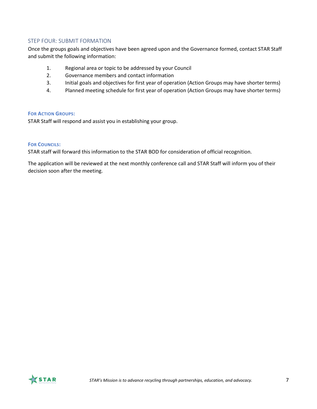#### <span id="page-6-0"></span>STEP FOUR: SUBMIT FORMATION

Once the groups goals and objectives have been agreed upon and the Governance formed, contact STAR Staff and submit the following information:

- 1. Regional area or topic to be addressed by your Council
- 2. Governance members and contact information
- 3. Initial goals and objectives for first year of operation (Action Groups may have shorter terms)
- 4. Planned meeting schedule for first year of operation (Action Groups may have shorter terms)

#### **FOR ACTION GROUPS:**

STAR Staff will respond and assist you in establishing your group.

#### **FOR COUNCILS:**

STAR staff will forward this information to the STAR BOD for consideration of official recognition.

The application will be reviewed at the next monthly conference call and STAR Staff will inform you of their decision soon after the meeting.

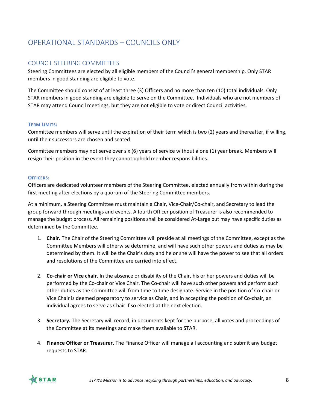# <span id="page-7-0"></span>OPERATIONAL STANDARDS – COUNCILS ONLY

### <span id="page-7-1"></span>COUNCIL STEERING COMMITTEES

Steering Committees are elected by all eligible members of the Council's general membership. Only STAR members in good standing are eligible to vote.

The Committee should consist of at least three (3) Officers and no more than ten (10) total individuals. Only STAR members in good standing are eligible to serve on the Committee. Individuals who are not members of STAR may attend Council meetings, but they are not eligible to vote or direct Council activities.

#### **TERM LIMITS:**

Committee members will serve until the expiration of their term which is two (2) years and thereafter, if willing, until their successors are chosen and seated.

Committee members may not serve over six (6) years of service without a one (1) year break. Members will resign their position in the event they cannot uphold member responsibilities.

#### **OFFICERS:**

Officers are dedicated volunteer members of the Steering Committee, elected annually from within during the first meeting after elections by a quorum of the Steering Committee members.

At a minimum, a Steering Committee must maintain a Chair, Vice‐Chair/Co-chair, and Secretary to lead the group forward through meetings and events. A fourth Officer position of Treasurer is also recommended to manage the budget process. All remaining positions shall be considered At-Large but may have specific duties as determined by the Committee.

- 1. **Chair.** The Chair of the Steering Committee will preside at all meetings of the Committee, except as the Committee Members will otherwise determine, and will have such other powers and duties as may be determined by them. It will be the Chair's duty and he or she will have the power to see that all orders and resolutions of the Committee are carried into effect.
- 2. **Co-chair or Vice chair.** In the absence or disability of the Chair, his or her powers and duties will be performed by the Co-chair or Vice Chair. The Co-chair will have such other powers and perform such other duties as the Committee will from time to time designate. Service in the position of Co‐chair or Vice Chair is deemed preparatory to service as Chair, and in accepting the position of Co‐chair, an individual agrees to serve as Chair if so elected at the next election.
- 3. **Secretary.** The Secretary will record, in documents kept for the purpose, all votes and proceedings of the Committee at its meetings and make them available to STAR.
- 4. **Finance Officer or Treasurer.** The Finance Officer will manage all accounting and submit any budget requests to STAR.

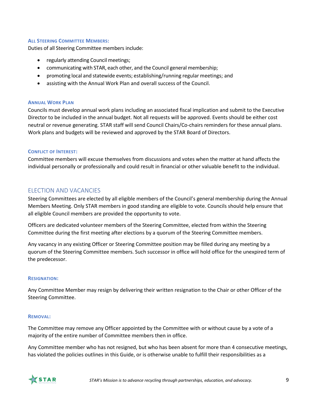#### **ALL STEERING COMMITTEE MEMBERS:**

Duties of all Steering Committee members include:

- regularly attending Council meetings;
- communicating with STAR, each other, and the Council general membership;
- promoting local and statewide events; establishing/running regular meetings; and
- assisting with the Annual Work Plan and overall success of the Council.

#### **ANNUAL WORK PLAN**

Councils must develop annual work plans including an associated fiscal implication and submit to the Executive Director to be included in the annual budget. Not all requests will be approved. Events should be either cost neutral or revenue generating. STAR staff will send Council Chairs/Co-chairs reminders for these annual plans. Work plans and budgets will be reviewed and approved by the STAR Board of Directors.

#### **CONFLICT OF INTEREST:**

Committee members will excuse themselves from discussions and votes when the matter at hand affects the individual personally or professionally and could result in financial or other valuable benefit to the individual.

### <span id="page-8-0"></span>ELECTION AND VACANCIES

Steering Committees are elected by all eligible members of the Council's general membership during the Annual Members Meeting. Only STAR members in good standing are eligible to vote. Councils should help ensure that all eligible Council members are provided the opportunity to vote.

Officers are dedicated volunteer members of the Steering Committee, elected from within the Steering Committee during the first meeting after elections by a quorum of the Steering Committee members.

Any vacancy in any existing Officer or Steering Committee position may be filled during any meeting by a quorum of the Steering Committee members. Such successor in office will hold office for the unexpired term of the predecessor.

#### **RESIGNATION:**

Any Committee Member may resign by delivering their written resignation to the Chair or other Officer of the Steering Committee.

#### **REMOVAL:**

The Committee may remove any Officer appointed by the Committee with or without cause by a vote of a majority of the entire number of Committee members then in office.

Any Committee member who has not resigned, but who has been absent for more than 4 consecutive meetings, has violated the policies outlines in this Guide, or is otherwise unable to fulfill their responsibilities as a

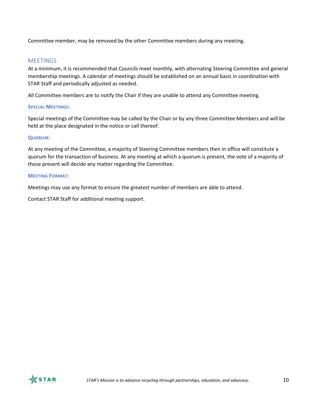Committee member, may be removed by the other Committee members during any meeting.

### <span id="page-9-0"></span>**MEETINGS**

At a minimum, it is recommended that Councils meet monthly, with alternating Steering Committee and general membership meetings. A calendar of meetings should be established on an annual basis in coordination with STAR Staff and periodically adjusted as needed.

All Committee members are to notify the Chair if they are unable to attend any Committee meeting.

#### **SPECIAL MEETINGS:**

Special meetings of the Committee may be called by the Chair or by any three Committee Members and will be held at the place designated in the notice or call thereof.

#### **QUORUM:**

At any meeting of the Committee, a majority of Steering Committee members then in office will constitute a quorum for the transaction of business. At any meeting at which a quorum is present, the vote of a majority of those present will decide any matter regarding the Committee.

#### **MEETING FORMAT:**

Meetings may use any format to ensure the greatest number of members are able to attend.

Contact STAR Staff for additional meeting support.

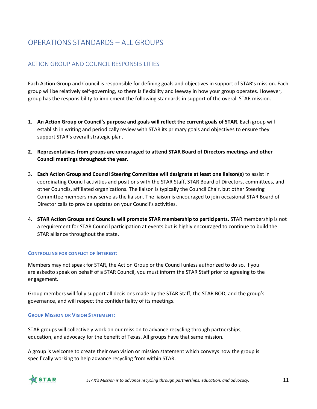# <span id="page-10-0"></span>OPERATIONS STANDARDS – ALL GROUPS

# <span id="page-10-1"></span>ACTION GROUP AND COUNCIL RESPONSIBILITIES

Each Action Group and Council is responsible for defining goals and objectives in support of STAR's mission. Each group will be relatively self-governing, so there is flexibility and leeway in how your group operates. However, group has the responsibility to implement the following standards in support of the overall STAR mission.

- 1. **An Action Group or Council's purpose and goals will reflect the current goals of STAR.** Each group will establish in writing and periodically review with STAR its primary goals and objectives to ensure they support STAR's overall strategic plan.
- **2. Representatives from groups are encouraged to attend STAR Board of Directors meetings and other Council meetings throughout the year.**
- 3. **Each Action Group and Council Steering Committee will designate at least one liaison(s)** to assist in coordinating Council activities and positions with the STAR Staff, STAR Board of Directors, committees, and other Councils, affiliated organizations. The liaison is typically the Council Chair, but other Steering Committee members may serve as the liaison. The liaison is encouraged to join occasional STAR Board of Director calls to provide updates on your Council's activities.
- 4. **STAR Action Groups and Councils will promote STAR membership to participants.** STAR membership is not a requirement for STAR Council participation at events but is highly encouraged to continue to build the STAR alliance throughout the state.

#### **CONTROLLING FOR CONFLICT OF INTEREST:**

Members may not speak for STAR, the Action Group or the Council unless authorized to do so. If you are askedto speak on behalf of a STAR Council, you must inform the STAR Staff prior to agreeing to the engagement.

Group members will fully support all decisions made by the STAR Staff, the STAR BOD, and the group's governance, and will respect the confidentiality of its meetings.

#### **GROUP MISSION OR VISION STATEMENT:**

STAR groups will collectively work on our mission to advance recycling through partnerships, education, and advocacy for the benefit of Texas. All groups have that same mission.

A group is welcome to create their own vision or mission statement which conveys how the group is specifically working to help advance recycling from within STAR.

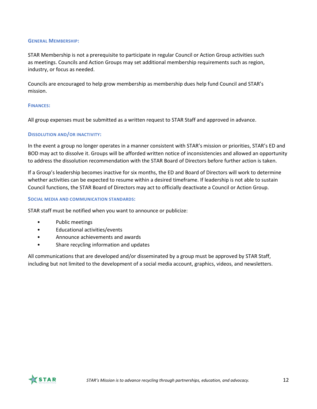#### **GENERAL MEMBERSHIP:**

STAR Membership is not a prerequisite to participate in regular Council or Action Group activities such as meetings. Councils and Action Groups may set additional membership requirements such as region, industry, or focus as needed.

Councils are encouraged to help grow membership as membership dues help fund Council and STAR's mission.

#### **FINANCES:**

All group expenses must be submitted as a written request to STAR Staff and approved in advance.

#### **DISSOLUTION AND/OR INACTIVITY:**

In the event a group no longer operates in a manner consistent with STAR's mission or priorities, STAR's ED and BOD may act to dissolve it. Groups will be afforded written notice of inconsistencies and allowed an opportunity to address the dissolution recommendation with the STAR Board of Directors before further action is taken.

If a Group's leadership becomes inactive for six months, the ED and Board of Directors will work to determine whether activities can be expected to resume within a desired timeframe. If leadership is not able to sustain Council functions, the STAR Board of Directors may act to officially deactivate a Council or Action Group.

#### **SOCIAL MEDIA AND COMMUNICATION STANDARDS:**

STAR staff must be notified when you want to announce or publicize:

- Public meetings
- Educational activities/events
- Announce achievements and awards
- Share recycling information and updates

All communications that are developed and/or disseminated by a group must be approved by STAR Staff, including but not limited to the development of a social media account, graphics, videos, and newsletters.